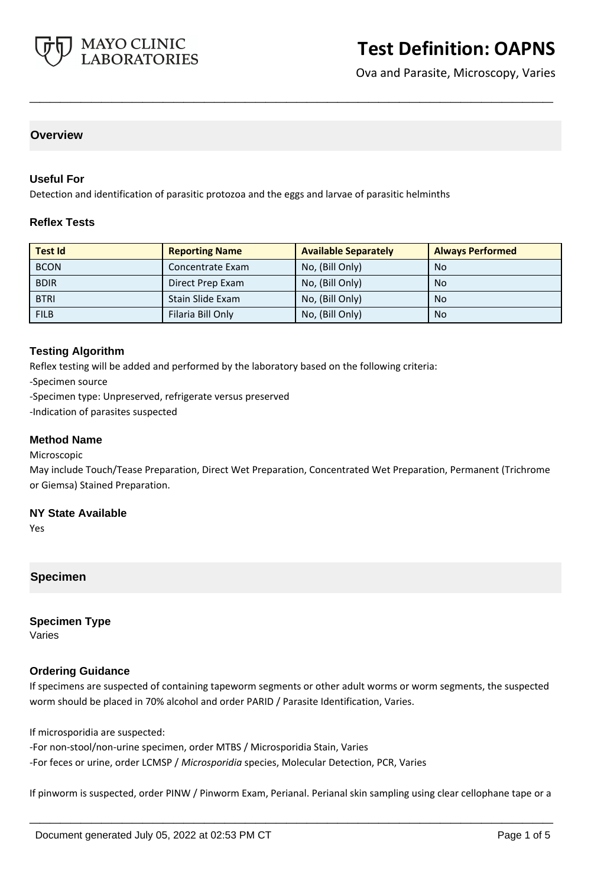

Ova and Parasite, Microscopy, Varies

## **Overview**

#### **Useful For**

Detection and identification of parasitic protozoa and the eggs and larvae of parasitic helminths

#### **Reflex Tests**

| <b>Test Id</b> | <b>Reporting Name</b> | <b>Available Separately</b> | <b>Always Performed</b> |
|----------------|-----------------------|-----------------------------|-------------------------|
| <b>BCON</b>    | Concentrate Exam      | No, (Bill Only)             | <b>No</b>               |
| <b>BDIR</b>    | Direct Prep Exam      | No, (Bill Only)             | <b>No</b>               |
| <b>BTRI</b>    | Stain Slide Exam      | No, (Bill Only)             | <b>No</b>               |
| <b>FILB</b>    | Filaria Bill Only     | No, (Bill Only)             | <b>No</b>               |

**\_\_\_\_\_\_\_\_\_\_\_\_\_\_\_\_\_\_\_\_\_\_\_\_\_\_\_\_\_\_\_\_\_\_\_\_\_\_\_\_\_\_\_\_\_\_\_\_\_\_\_**

#### **Testing Algorithm**

Reflex testing will be added and performed by the laboratory based on the following criteria:

-Specimen source

-Specimen type: Unpreserved, refrigerate versus preserved

-Indication of parasites suspected

#### **Method Name**

Microscopic

May include Touch/Tease Preparation, Direct Wet Preparation, Concentrated Wet Preparation, Permanent (Trichrome or Giemsa) Stained Preparation.

#### **NY State Available**

Yes

## **Specimen**

**Specimen Type** Varies

## **Ordering Guidance**

If specimens are suspected of containing tapeworm segments or other adult worms or worm segments, the suspected worm should be placed in 70% alcohol and order PARID / Parasite Identification, Varies.

If microsporidia are suspected:

-For non-stool/non-urine specimen, order MTBS / Microsporidia Stain, Varies -For feces or urine, order LCMSP / *Microsporidia* species, Molecular Detection, PCR, Varies

If pinworm is suspected, order PINW / Pinworm Exam, Perianal. Perianal skin sampling using clear cellophane tape or a

**\_\_\_\_\_\_\_\_\_\_\_\_\_\_\_\_\_\_\_\_\_\_\_\_\_\_\_\_\_\_\_\_\_\_\_\_\_\_\_\_\_\_\_\_\_\_\_\_\_\_\_**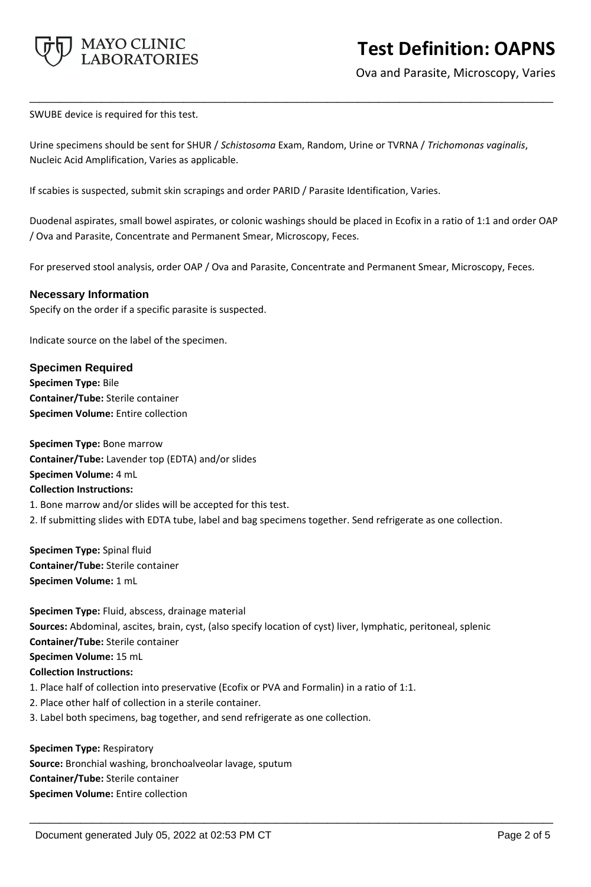

Ova and Parasite, Microscopy, Varies

SWUBE device is required for this test.

Urine specimens should be sent for SHUR / *Schistosoma* Exam, Random, Urine or TVRNA / *Trichomonas vaginalis*, Nucleic Acid Amplification, Varies as applicable.

**\_\_\_\_\_\_\_\_\_\_\_\_\_\_\_\_\_\_\_\_\_\_\_\_\_\_\_\_\_\_\_\_\_\_\_\_\_\_\_\_\_\_\_\_\_\_\_\_\_\_\_**

If scabies is suspected, submit skin scrapings and order PARID / Parasite Identification, Varies.

Duodenal aspirates, small bowel aspirates, or colonic washings should be placed in Ecofix in a ratio of 1:1 and order OAP / Ova and Parasite, Concentrate and Permanent Smear, Microscopy, Feces.

For preserved stool analysis, order OAP / Ova and Parasite, Concentrate and Permanent Smear, Microscopy, Feces.

#### **Necessary Information**

Specify on the order if a specific parasite is suspected.

Indicate source on the label of the specimen.

#### **Specimen Required**

**Specimen Type:** Bile **Container/Tube:** Sterile container **Specimen Volume:** Entire collection

**Specimen Type:** Bone marrow **Container/Tube:** Lavender top (EDTA) and/or slides **Specimen Volume:** 4 mL **Collection Instructions:** 1. Bone marrow and/or slides will be accepted for this test.

2. If submitting slides with EDTA tube, label and bag specimens together. Send refrigerate as one collection.

**Specimen Type:** Spinal fluid **Container/Tube:** Sterile container **Specimen Volume:** 1 mL

**Specimen Type:** Fluid, abscess, drainage material **Sources:** Abdominal, ascites, brain, cyst, (also specify location of cyst) liver, lymphatic, peritoneal, splenic **Container/Tube:** Sterile container **Specimen Volume:** 15 mL **Collection Instructions:** 1. Place half of collection into preservative (Ecofix or PVA and Formalin) in a ratio of 1:1. 2. Place other half of collection in a sterile container.

**\_\_\_\_\_\_\_\_\_\_\_\_\_\_\_\_\_\_\_\_\_\_\_\_\_\_\_\_\_\_\_\_\_\_\_\_\_\_\_\_\_\_\_\_\_\_\_\_\_\_\_**

3. Label both specimens, bag together, and send refrigerate as one collection.

**Specimen Type:** Respiratory **Source:** Bronchial washing, bronchoalveolar lavage, sputum **Container/Tube:** Sterile container **Specimen Volume:** Entire collection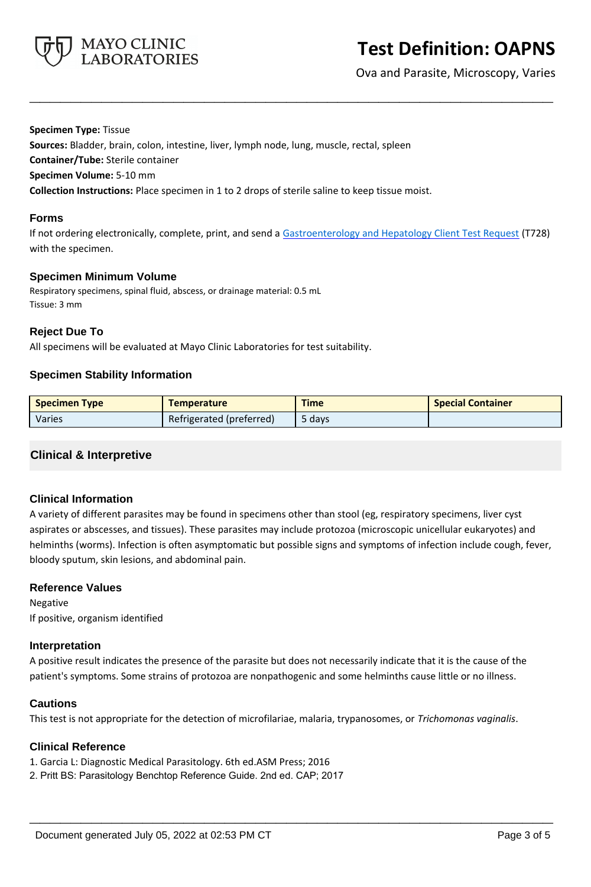

Ova and Parasite, Microscopy, Varies

**Specimen Type:** Tissue

**Sources:** Bladder, brain, colon, intestine, liver, lymph node, lung, muscle, rectal, spleen

**Container/Tube:** Sterile container

**Specimen Volume:** 5-10 mm

**Collection Instructions:** Place specimen in 1 to 2 drops of sterile saline to keep tissue moist.

#### **Forms**

If not ordering electronically, complete, print, and send a [Gastroenterology and Hepatology Client Test Request](https://www.mayocliniclabs.com/it-mmfiles/gastroenterology-and-hepatology-test-request.pdf) (T728) with the specimen.

**\_\_\_\_\_\_\_\_\_\_\_\_\_\_\_\_\_\_\_\_\_\_\_\_\_\_\_\_\_\_\_\_\_\_\_\_\_\_\_\_\_\_\_\_\_\_\_\_\_\_\_**

## **Specimen Minimum Volume**

Respiratory specimens, spinal fluid, abscess, or drainage material: 0.5 mL Tissue: 3 mm

## **Reject Due To**

All specimens will be evaluated at Mayo Clinic Laboratories for test suitability.

## **Specimen Stability Information**

| Specimen Type | <b>Temperature</b>       | <b>Time</b> | <b>Special Container</b> |
|---------------|--------------------------|-------------|--------------------------|
| Varies        | Refrigerated (preferred) | 5 davs      |                          |

## **Clinical & Interpretive**

## **Clinical Information**

A variety of different parasites may be found in specimens other than stool (eg, respiratory specimens, liver cyst aspirates or abscesses, and tissues). These parasites may include protozoa (microscopic unicellular eukaryotes) and helminths (worms). Infection is often asymptomatic but possible signs and symptoms of infection include cough, fever, bloody sputum, skin lesions, and abdominal pain.

## **Reference Values**

Negative If positive, organism identified

## **Interpretation**

A positive result indicates the presence of the parasite but does not necessarily indicate that it is the cause of the patient's symptoms. Some strains of protozoa are nonpathogenic and some helminths cause little or no illness.

## **Cautions**

This test is not appropriate for the detection of microfilariae, malaria, trypanosomes, or *Trichomonas vaginalis*.

**\_\_\_\_\_\_\_\_\_\_\_\_\_\_\_\_\_\_\_\_\_\_\_\_\_\_\_\_\_\_\_\_\_\_\_\_\_\_\_\_\_\_\_\_\_\_\_\_\_\_\_**

## **Clinical Reference**

1. Garcia L: Diagnostic Medical Parasitology. 6th ed.ASM Press; 2016

2. Pritt BS: Parasitology Benchtop Reference Guide. 2nd ed. CAP; 2017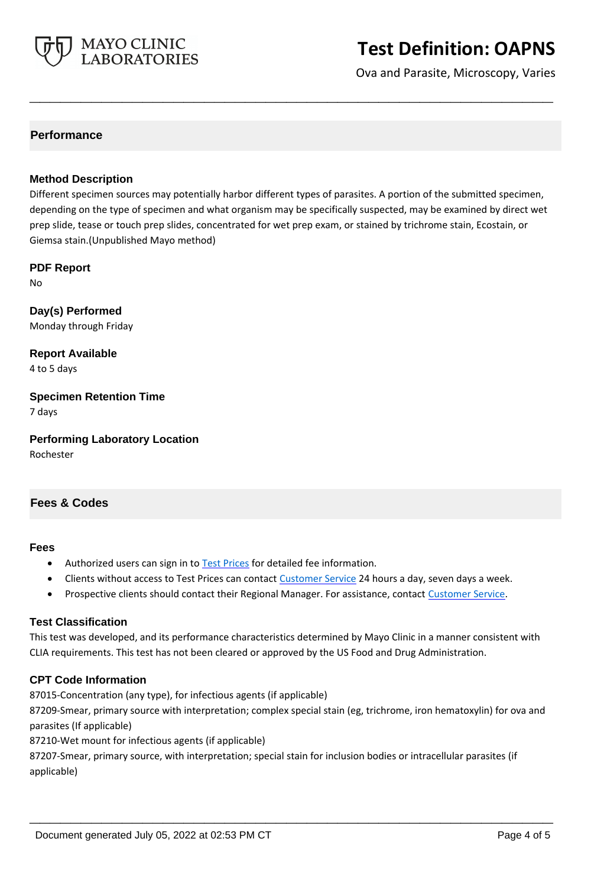

Ova and Parasite, Microscopy, Varies

## **Performance**

#### **Method Description**

Different specimen sources may potentially harbor different types of parasites. A portion of the submitted specimen, depending on the type of specimen and what organism may be specifically suspected, may be examined by direct wet prep slide, tease or touch prep slides, concentrated for wet prep exam, or stained by trichrome stain, Ecostain, or Giemsa stain.(Unpublished Mayo method)

**\_\_\_\_\_\_\_\_\_\_\_\_\_\_\_\_\_\_\_\_\_\_\_\_\_\_\_\_\_\_\_\_\_\_\_\_\_\_\_\_\_\_\_\_\_\_\_\_\_\_\_**

**PDF Report**

No

**Day(s) Performed** Monday through Friday

**Report Available** 4 to 5 days

**Specimen Retention Time** 7 days

**Performing Laboratory Location** Rochester

## **Fees & Codes**

#### **Fees**

- Authorized users can sign in to [Test Prices](https://www.mayocliniclabs.com/customer-service/client-price-lookup/index.html?unit_code=OAPNS) for detailed fee information.
- Clients without access to Test Prices can contact [Customer Service](http://www.mayocliniclabs.com/customer-service/contacts.html) 24 hours a day, seven days a week.
- **Prospective clients should contact their Regional Manager. For assistance, contact [Customer Service.](http://www.mayocliniclabs.com/customer-service/contacts.html)**

## **Test Classification**

This test was developed, and its performance characteristics determined by Mayo Clinic in a manner consistent with CLIA requirements. This test has not been cleared or approved by the US Food and Drug Administration.

## **CPT Code Information**

87015-Concentration (any type), for infectious agents (if applicable)

87209-Smear, primary source with interpretation; complex special stain (eg, trichrome, iron hematoxylin) for ova and parasites (If applicable)

**\_\_\_\_\_\_\_\_\_\_\_\_\_\_\_\_\_\_\_\_\_\_\_\_\_\_\_\_\_\_\_\_\_\_\_\_\_\_\_\_\_\_\_\_\_\_\_\_\_\_\_**

87210-Wet mount for infectious agents (if applicable)

87207-Smear, primary source, with interpretation; special stain for inclusion bodies or intracellular parasites (if applicable)